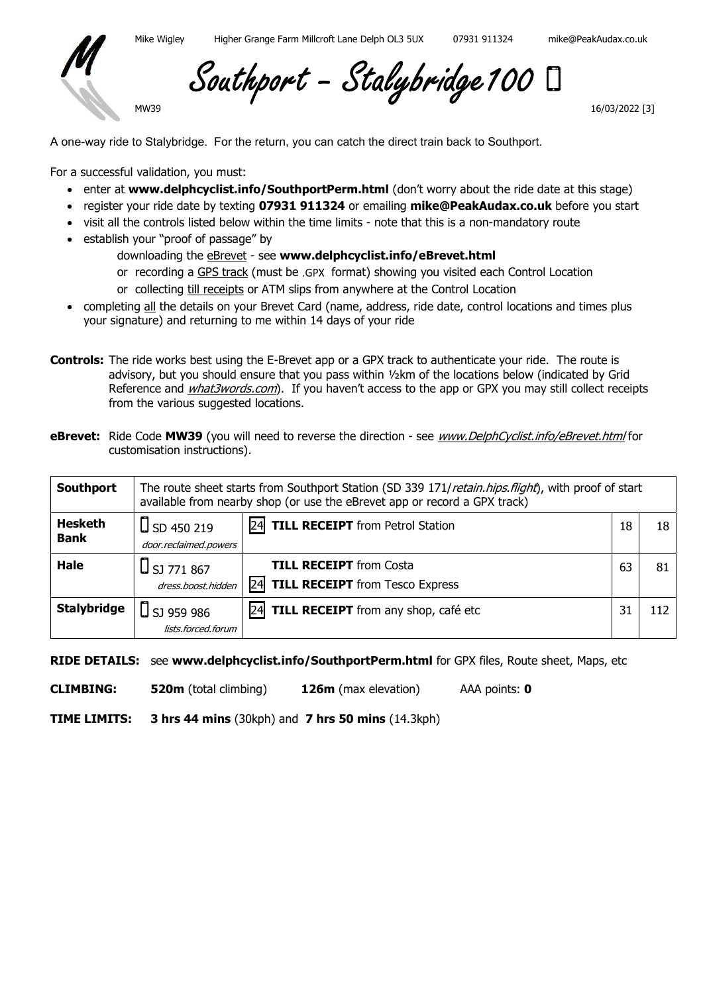

Southport - Stalybridge 100

16/03/2022 [3]

A one-way ride to Stalybridge. For the return, you can catch the direct train back to Southport.

For a successful validation, you must:

MW39

- enter at www.delphcyclist.info/SouthportPerm.html (don't worry about the ride date at this stage)
- register your ride date by texting 07931 911324 or emailing mike@PeakAudax.co.uk before you start
- visit all the controls listed below within the time limits note that this is a non-mandatory route
- establish your "proof of passage" by
	- downloading the **eBrevet** see www.delphcyclist.info/eBrevet.html
	- or recording a GPS track (must be .GPX format) showing you visited each Control Location
	- or collecting till receipts or ATM slips from anywhere at the Control Location
- completing all the details on your Brevet Card (name, address, ride date, control locations and times plus your signature) and returning to me within 14 days of your ride
- Controls: The ride works best using the E-Brevet app or a GPX track to authenticate your ride. The route is advisory, but you should ensure that you pass within ½km of the locations below (indicated by Grid Reference and *what3words.com*). If you haven't access to the app or GPX you may still collect receipts from the various suggested locations.
- eBrevet: Ride Code MW39 (you will need to reverse the direction see www.DelphCyclist.info/eBrevet.html for customisation instructions).

| Southport                     | The route sheet starts from Southport Station (SD 339 171/retain.hips.flight), with proof of start<br>available from nearby shop (or use the eBrevet app or record a GPX track) |                                                                                 |    |     |
|-------------------------------|---------------------------------------------------------------------------------------------------------------------------------------------------------------------------------|---------------------------------------------------------------------------------|----|-----|
| <b>Hesketh</b><br><b>Bank</b> | $\bigcup$ SD 450 219<br>door.reclaimed.powers                                                                                                                                   | TILL RECEIPT from Petrol Station<br> 24                                         | 18 | 18  |
| <b>Hale</b>                   | . [ <b>]</b> SJ 771 867<br>dress.boost.hidden                                                                                                                                   | <b>TILL RECEIPT</b> from Costa<br><b>TILL RECEIPT</b> from Tesco Express<br> 24 | 63 | 81  |
| <b>Stalybridge</b>            | ⊔ SJ 959 986<br>lists.forced.forum                                                                                                                                              | 24<br>TILL RECEIPT from any shop, café etc                                      | 31 | 112 |

RIDE DETAILS: see www.delphcyclist.info/SouthportPerm.html for GPX files, Route sheet, Maps, etc

CLIMBING: 520m (total climbing) 126m (max elevation) AAA points: 0

TIME LIMITS: 3 hrs 44 mins (30kph) and 7 hrs 50 mins (14.3kph)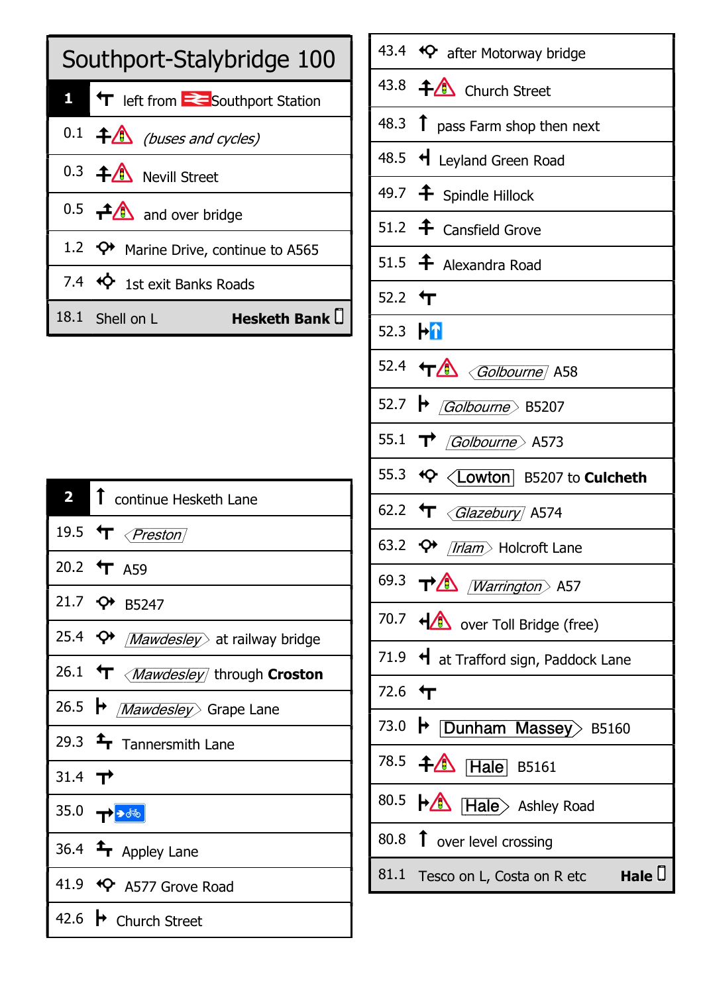| Southport-Stalybridge 100 |                                                      |  |
|---------------------------|------------------------------------------------------|--|
|                           | T left from <b>E</b> Southport Station               |  |
|                           | $0.1$ $\uparrow$ (buses and cycles)                  |  |
|                           | 0.3 <b>4</b> Nevill Street                           |  |
|                           | $0.5$ $\rightarrow$ $\rightarrow$ and over bridge    |  |
|                           | 1.2 $\leftrightarrow$ Marine Drive, continue to A565 |  |
|                           | 7.4 <sup>&lt;&gt;&gt; 4</sup> 1st exit Banks Roads   |  |
|                           | Hesketh Bank $\square$<br>18.1 Shell on L            |  |

|                    | 2 1 continue Hesketh Lane                        |
|--------------------|--------------------------------------------------|
|                    | 19.5 $\mathbf{\hat{T}}$ <i>{Preston}</i>         |
|                    | 20.2 $\text{tr}$ A59                             |
|                    | 21.7 $\leftrightarrow$ B5247                     |
|                    | 25.4 <b>← <i>Mawdesley</i></b> at railway bridge |
|                    | 26.1 T < Mawdesley through Croston               |
|                    | 26.5 → <i>Mawdesley</i> Grape Lane               |
|                    | 29.3 $\rightarrow$ Tannersmith Lane              |
| 31.4 $\rightarrow$ |                                                  |
|                    |                                                  |
|                    | 36.4 $\triangleq$ Appley Lane                    |
|                    | 41.9 $\leftrightarrow$ A577 Grove Road           |
|                    | 42.6 → Church Street                             |

| 43.8 <sup>4</sup> Church Street<br>48.3 $\uparrow$ pass Farm shop then next<br>48.5 + Leyland Green Road<br>49.7 <b>f</b> Spindle Hillock<br>51.2 <sup>+</sup> Cansfield Grove<br>51.5 + Alexandra Road<br>52.2 $\text{L}$<br>52.3 h <sup>1</sup><br>52.4 TA <i>Golbourne</i> A58<br>52.7 $\rightarrow$ <i>Golbourne</i> B5207<br>55.1 $\rightarrow$ <i>Golbourne</i> A573<br>62.2 T <i><glazebury< i=""> A574<br/>63.2 <math>\leftrightarrow</math> /<i>Irlam</i> Holcroft Lane<br/>69.3 <math>\rightarrow \rightarrow \rightarrow</math> /<i>Warrington</i> A57<br/>70.7 +<sup>1</sup> over Toll Bridge (free)<br/>71.9 <math>\triangleleft</math> at Trafford sign, Paddock Lane<br/>72.6 <math>\text{tr}</math><br/>73.0 <b>• Dunham Massey</b>&gt; B5160<br/>78.5 <b><math>\uparrow</math> Hale</b> B5161<br/>80.5 HA Hale&gt; Ashley Road<br/>80.8 1 over level crossing<br/>Hale <math>\Box</math><br/>81.1 Tesco on L, Costa on R etc</glazebury<></i> | 43.4 <sup>4</sup> after Motorway bridge |
|----------------------------------------------------------------------------------------------------------------------------------------------------------------------------------------------------------------------------------------------------------------------------------------------------------------------------------------------------------------------------------------------------------------------------------------------------------------------------------------------------------------------------------------------------------------------------------------------------------------------------------------------------------------------------------------------------------------------------------------------------------------------------------------------------------------------------------------------------------------------------------------------------------------------------------------------------------------|-----------------------------------------|
|                                                                                                                                                                                                                                                                                                                                                                                                                                                                                                                                                                                                                                                                                                                                                                                                                                                                                                                                                                |                                         |
|                                                                                                                                                                                                                                                                                                                                                                                                                                                                                                                                                                                                                                                                                                                                                                                                                                                                                                                                                                |                                         |
|                                                                                                                                                                                                                                                                                                                                                                                                                                                                                                                                                                                                                                                                                                                                                                                                                                                                                                                                                                |                                         |
|                                                                                                                                                                                                                                                                                                                                                                                                                                                                                                                                                                                                                                                                                                                                                                                                                                                                                                                                                                |                                         |
|                                                                                                                                                                                                                                                                                                                                                                                                                                                                                                                                                                                                                                                                                                                                                                                                                                                                                                                                                                |                                         |
|                                                                                                                                                                                                                                                                                                                                                                                                                                                                                                                                                                                                                                                                                                                                                                                                                                                                                                                                                                |                                         |
|                                                                                                                                                                                                                                                                                                                                                                                                                                                                                                                                                                                                                                                                                                                                                                                                                                                                                                                                                                |                                         |
|                                                                                                                                                                                                                                                                                                                                                                                                                                                                                                                                                                                                                                                                                                                                                                                                                                                                                                                                                                |                                         |
|                                                                                                                                                                                                                                                                                                                                                                                                                                                                                                                                                                                                                                                                                                                                                                                                                                                                                                                                                                |                                         |
|                                                                                                                                                                                                                                                                                                                                                                                                                                                                                                                                                                                                                                                                                                                                                                                                                                                                                                                                                                |                                         |
|                                                                                                                                                                                                                                                                                                                                                                                                                                                                                                                                                                                                                                                                                                                                                                                                                                                                                                                                                                |                                         |
|                                                                                                                                                                                                                                                                                                                                                                                                                                                                                                                                                                                                                                                                                                                                                                                                                                                                                                                                                                |                                         |
|                                                                                                                                                                                                                                                                                                                                                                                                                                                                                                                                                                                                                                                                                                                                                                                                                                                                                                                                                                |                                         |
|                                                                                                                                                                                                                                                                                                                                                                                                                                                                                                                                                                                                                                                                                                                                                                                                                                                                                                                                                                |                                         |
|                                                                                                                                                                                                                                                                                                                                                                                                                                                                                                                                                                                                                                                                                                                                                                                                                                                                                                                                                                |                                         |
|                                                                                                                                                                                                                                                                                                                                                                                                                                                                                                                                                                                                                                                                                                                                                                                                                                                                                                                                                                |                                         |
|                                                                                                                                                                                                                                                                                                                                                                                                                                                                                                                                                                                                                                                                                                                                                                                                                                                                                                                                                                |                                         |
|                                                                                                                                                                                                                                                                                                                                                                                                                                                                                                                                                                                                                                                                                                                                                                                                                                                                                                                                                                |                                         |
|                                                                                                                                                                                                                                                                                                                                                                                                                                                                                                                                                                                                                                                                                                                                                                                                                                                                                                                                                                |                                         |
|                                                                                                                                                                                                                                                                                                                                                                                                                                                                                                                                                                                                                                                                                                                                                                                                                                                                                                                                                                |                                         |
|                                                                                                                                                                                                                                                                                                                                                                                                                                                                                                                                                                                                                                                                                                                                                                                                                                                                                                                                                                |                                         |
|                                                                                                                                                                                                                                                                                                                                                                                                                                                                                                                                                                                                                                                                                                                                                                                                                                                                                                                                                                |                                         |
|                                                                                                                                                                                                                                                                                                                                                                                                                                                                                                                                                                                                                                                                                                                                                                                                                                                                                                                                                                |                                         |